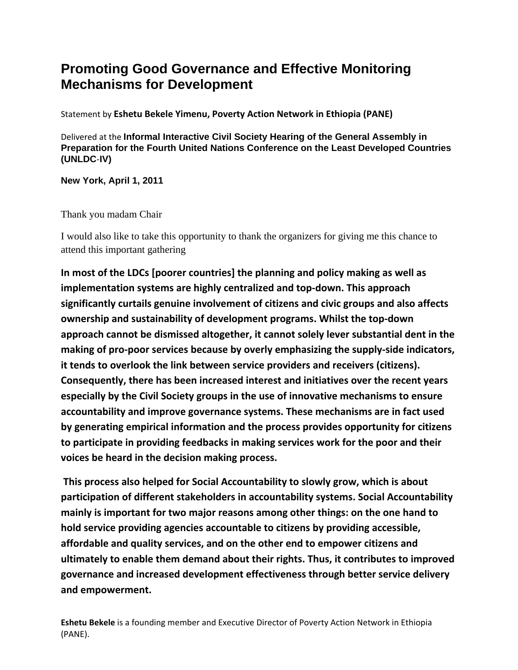## **Promoting Good Governance and Effective Monitoring Mechanisms for Development**

Statement by **Eshetu Bekele Yimenu, Poverty Action Network in Ethiopia (PANE)**

Delivered at the **Informal Interactive Civil Society Hearing of the General Assembly in Preparation for the Fourth United Nations Conference on the Least Developed Countries (UNLDC**‐**IV)** 

**New York, April 1, 2011**

Thank you madam Chair

I would also like to take this opportunity to thank the organizers for giving me this chance to attend this important gathering

**In most of the LDCs [poorer countries] the planning and policy making as well as implementation systems are highly centralized and top‐down. This approach significantly curtails genuine involvement of citizens and civic groups and also affects ownership and sustainability of development programs. Whilst the top‐down approach cannot be dismissed altogether, it cannot solely lever substantial dent in the making of pro‐poor services because by overly emphasizing the supply‐side indicators, it tends to overlook the link between service providers and receivers (citizens). Consequently, there has been increased interest and initiatives over the recent years especially by the Civil Society groups in the use of innovative mechanisms to ensure accountability and improve governance systems. These mechanisms are in fact used by generating empirical information and the process provides opportunity for citizens to participate in providing feedbacks in making services work for the poor and their voices be heard in the decision making process.** 

**This process also helped for Social Accountability to slowly grow, which is about participation of different stakeholders in accountability systems. Social Accountability mainly is important for two major reasons among other things: on the one hand to hold service providing agencies accountable to citizens by providing accessible, affordable and quality services, and on the other end to empower citizens and ultimately to enable them demand about their rights. Thus, it contributes to improved governance and increased development effectiveness through better service delivery and empowerment.**

**Eshetu Bekele** is a founding member and Executive Director of Poverty Action Network in Ethiopia (PANE).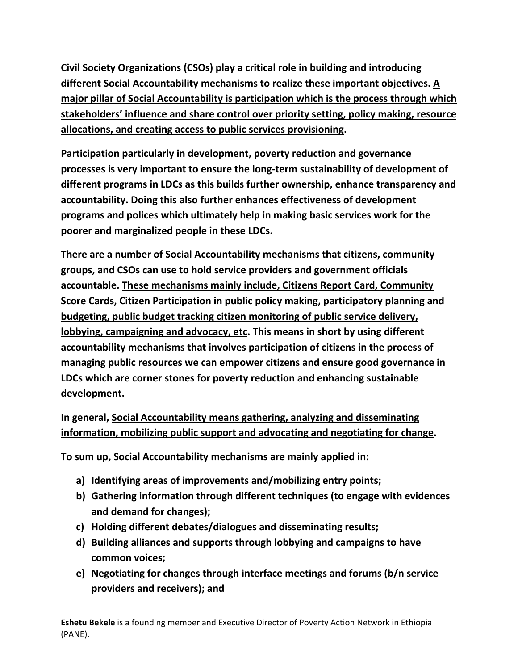**Civil Society Organizations (CSOs) play a critical role in building and introducing different Social Accountability mechanisms to realize these important objectives. A major pillar of Social Accountability is participation which is the process through which stakeholders' influence and share control over priority setting, policy making, resource allocations, and creating access to public services provisioning.** 

**Participation particularly in development, poverty reduction and governance processes is very important to ensure the long‐term sustainability of development of different programs in LDCs as this builds further ownership, enhance transparency and accountability. Doing this also further enhances effectiveness of development programs and polices which ultimately help in making basic services work for the poorer and marginalized people in these LDCs.** 

**There are a number of Social Accountability mechanisms that citizens, community groups, and CSOs can use to hold service providers and government officials accountable. These mechanisms mainly include, Citizens Report Card, Community Score Cards, Citizen Participation in public policy making, participatory planning and budgeting, public budget tracking citizen monitoring of public service delivery, lobbying, campaigning and advocacy, etc. This means in short by using different accountability mechanisms that involves participation of citizens in the process of managing public resources we can empower citizens and ensure good governance in LDCs which are corner stones for poverty reduction and enhancing sustainable development.**

## **In general, Social Accountability means gathering, analyzing and disseminating information, mobilizing public support and advocating and negotiating for change.**

**To sum up, Social Accountability mechanisms are mainly applied in:**

- **a) Identifying areas of improvements and/mobilizing entry points;**
- **b) Gathering information through different techniques (to engage with evidences and demand for changes);**
- **c) Holding different debates/dialogues and disseminating results;**
- **d) Building alliances and supports through lobbying and campaigns to have common voices;**
- **e) Negotiating for changes through interface meetings and forums (b/n service providers and receivers); and**